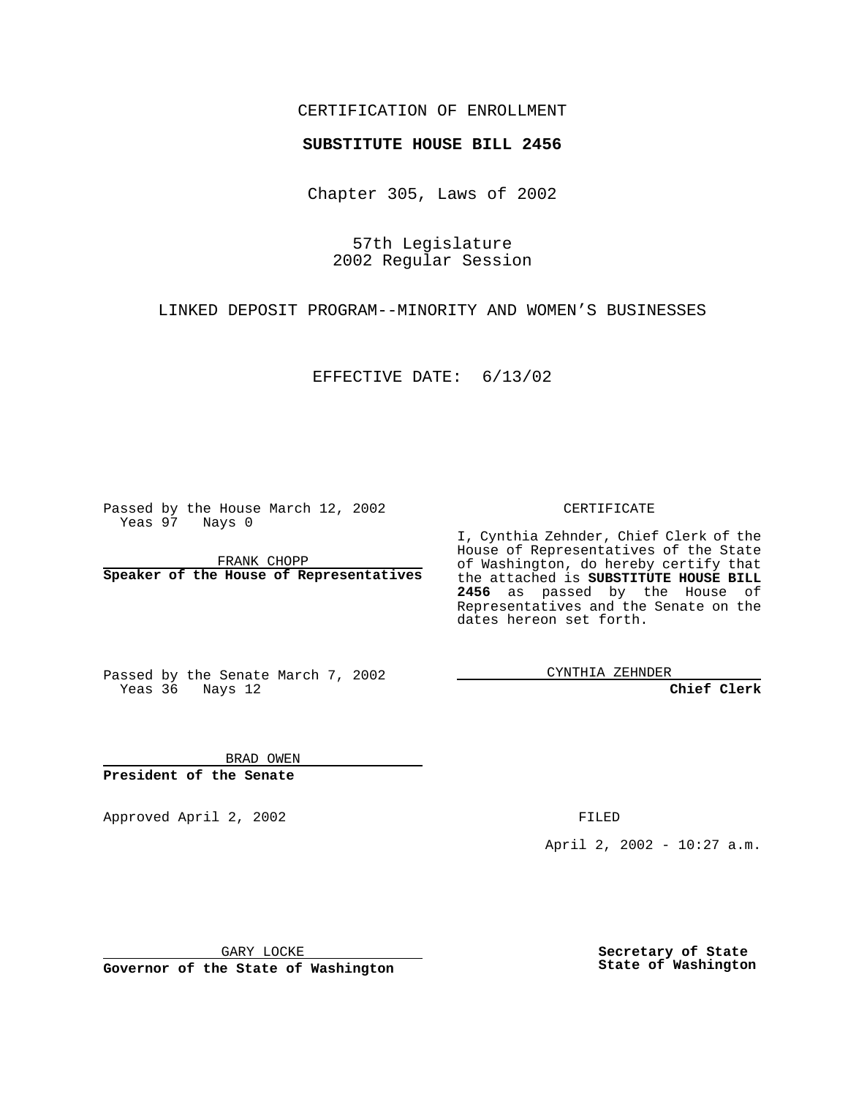## CERTIFICATION OF ENROLLMENT

# **SUBSTITUTE HOUSE BILL 2456**

Chapter 305, Laws of 2002

57th Legislature 2002 Regular Session

LINKED DEPOSIT PROGRAM--MINORITY AND WOMEN'S BUSINESSES

EFFECTIVE DATE: 6/13/02

Passed by the House March 12, 2002 Yeas 97 Nays 0

FRANK CHOPP **Speaker of the House of Representatives** CERTIFICATE

I, Cynthia Zehnder, Chief Clerk of the House of Representatives of the State of Washington, do hereby certify that the attached is **SUBSTITUTE HOUSE BILL 2456** as passed by the House of Representatives and the Senate on the dates hereon set forth.

Passed by the Senate March 7, 2002 Yeas 36 Nays 12

CYNTHIA ZEHNDER

**Chief Clerk**

BRAD OWEN **President of the Senate**

Approved April 2, 2002 **FILED** 

April 2, 2002 - 10:27 a.m.

GARY LOCKE

**Governor of the State of Washington**

**Secretary of State State of Washington**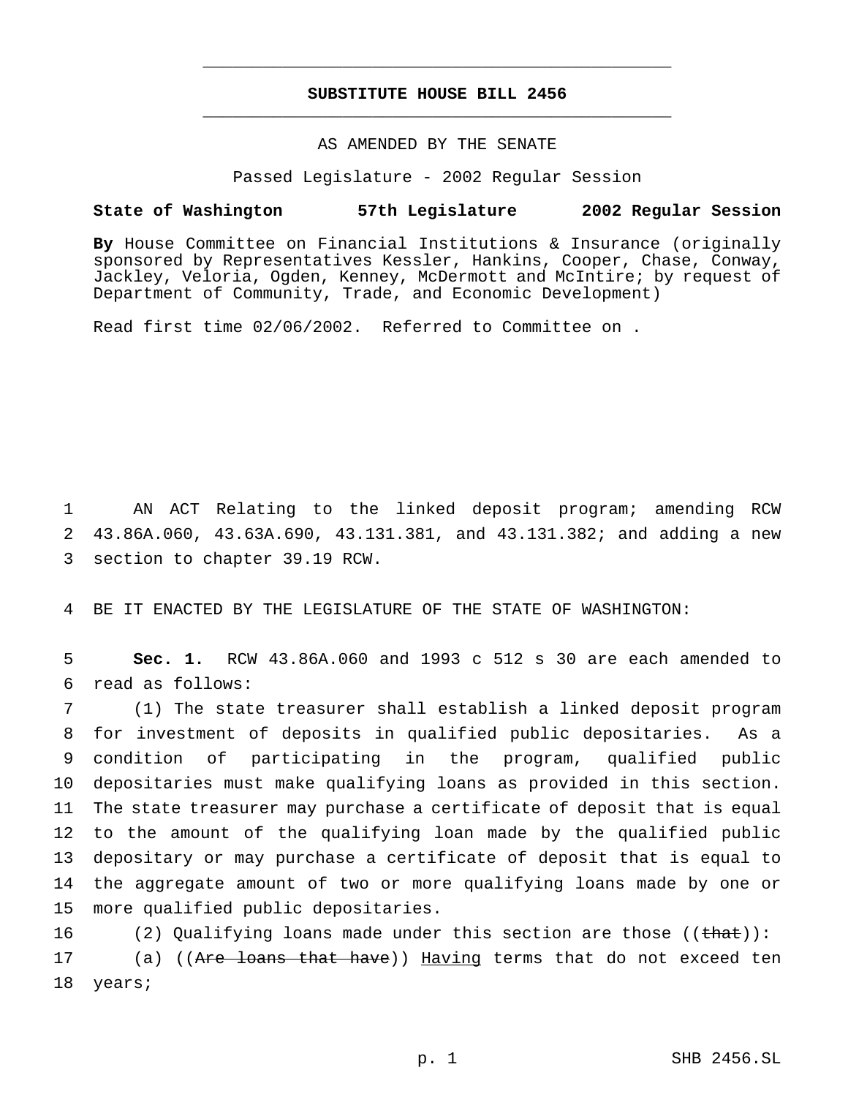## **SUBSTITUTE HOUSE BILL 2456** \_\_\_\_\_\_\_\_\_\_\_\_\_\_\_\_\_\_\_\_\_\_\_\_\_\_\_\_\_\_\_\_\_\_\_\_\_\_\_\_\_\_\_\_\_\_\_

\_\_\_\_\_\_\_\_\_\_\_\_\_\_\_\_\_\_\_\_\_\_\_\_\_\_\_\_\_\_\_\_\_\_\_\_\_\_\_\_\_\_\_\_\_\_\_

### AS AMENDED BY THE SENATE

Passed Legislature - 2002 Regular Session

#### **State of Washington 57th Legislature 2002 Regular Session**

**By** House Committee on Financial Institutions & Insurance (originally sponsored by Representatives Kessler, Hankins, Cooper, Chase, Conway, Jackley, Veloria, Ogden, Kenney, McDermott and McIntire; by request of Department of Community, Trade, and Economic Development)

Read first time 02/06/2002. Referred to Committee on .

1 AN ACT Relating to the linked deposit program; amending RCW 2 43.86A.060, 43.63A.690, 43.131.381, and 43.131.382; and adding a new 3 section to chapter 39.19 RCW.

4 BE IT ENACTED BY THE LEGISLATURE OF THE STATE OF WASHINGTON:

5 **Sec. 1.** RCW 43.86A.060 and 1993 c 512 s 30 are each amended to 6 read as follows:

 (1) The state treasurer shall establish a linked deposit program for investment of deposits in qualified public depositaries. As a condition of participating in the program, qualified public depositaries must make qualifying loans as provided in this section. The state treasurer may purchase a certificate of deposit that is equal to the amount of the qualifying loan made by the qualified public depositary or may purchase a certificate of deposit that is equal to the aggregate amount of two or more qualifying loans made by one or more qualified public depositaries.

16 (2) Qualifying loans made under this section are those ((that)): 17 (a) ((Are loans that have)) Having terms that do not exceed ten 18 years;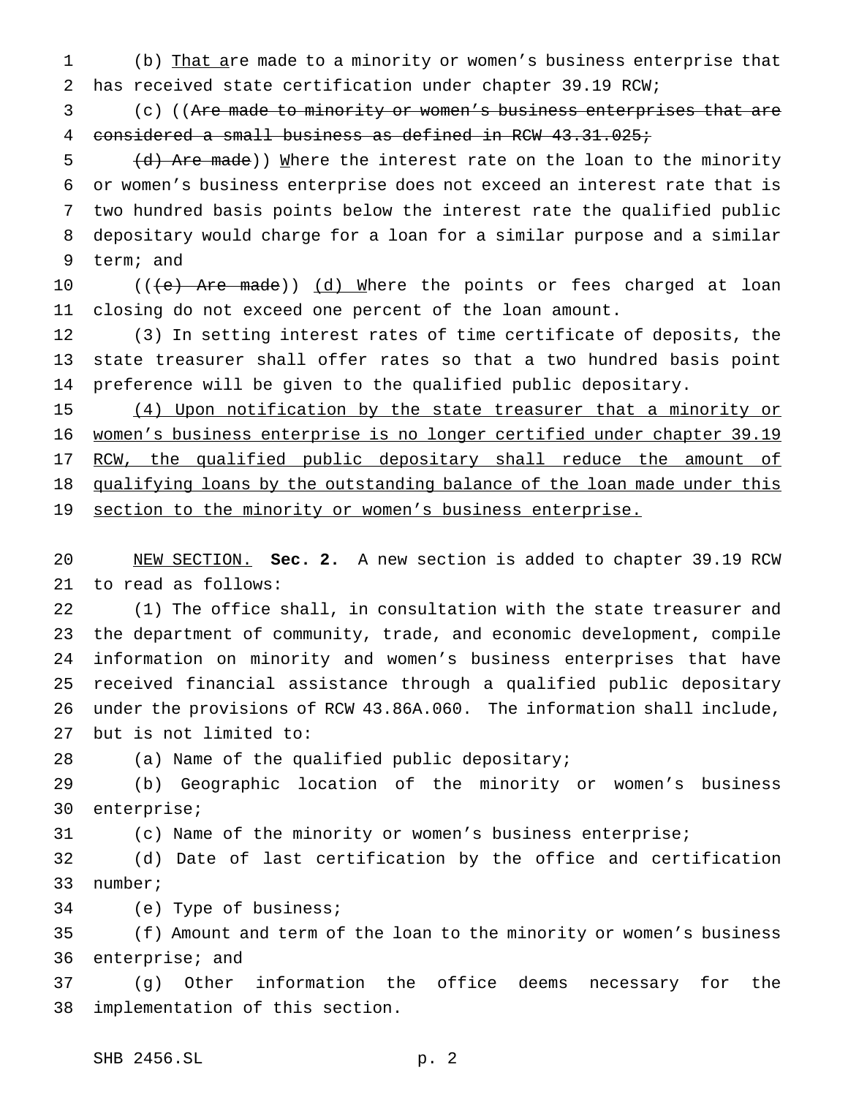1 (b) That are made to a minority or women's business enterprise that has received state certification under chapter 39.19 RCW;

 (c) ((Are made to minority or women's business enterprises that are considered a small business as defined in RCW 43.31.025;

5 (d) Are made)) Where the interest rate on the loan to the minority or women's business enterprise does not exceed an interest rate that is two hundred basis points below the interest rate the qualified public depositary would charge for a loan for a similar purpose and a similar term; and

10 (((e) Are made)) (d) Where the points or fees charged at loan closing do not exceed one percent of the loan amount.

 (3) In setting interest rates of time certificate of deposits, the state treasurer shall offer rates so that a two hundred basis point preference will be given to the qualified public depositary.

 (4) Upon notification by the state treasurer that a minority or 16 women's business enterprise is no longer certified under chapter 39.19 17 RCW, the qualified public depositary shall reduce the amount of 18 qualifying loans by the outstanding balance of the loan made under this 19 section to the minority or women's business enterprise.

 NEW SECTION. **Sec. 2.** A new section is added to chapter 39.19 RCW to read as follows:

 (1) The office shall, in consultation with the state treasurer and the department of community, trade, and economic development, compile information on minority and women's business enterprises that have received financial assistance through a qualified public depositary under the provisions of RCW 43.86A.060. The information shall include, but is not limited to:

(a) Name of the qualified public depositary;

 (b) Geographic location of the minority or women's business enterprise;

(c) Name of the minority or women's business enterprise;

 (d) Date of last certification by the office and certification number;

(e) Type of business;

 (f) Amount and term of the loan to the minority or women's business enterprise; and

 (g) Other information the office deems necessary for the implementation of this section.